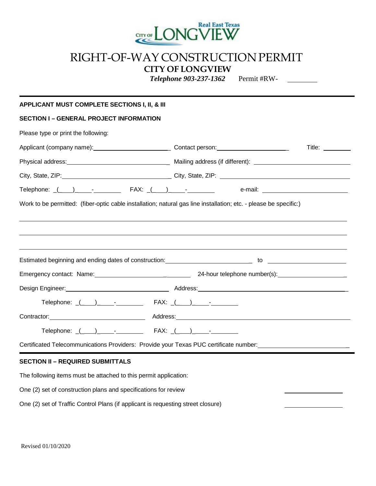

## RIGHT-OF-WAY CONSTRUCTION PERMIT **CITY OF LONGVIEW**

*Telephone 903-237-1362* Permit #RW-

## **APPLICANT MUST COMPLETE SECTIONS I, II, & III SECTION I – GENERAL PROJECT INFORMATION** Please type or print the following: Applicant (company name): \_ Contact person: \_ Title: Physical address: \_ Mailing address (if different): City, State, ZIP: \_ City, State, ZIP: Telephone: \_(\_ )\_ - FAX: \_(\_ )\_ - e-mail: Work to be permitted: (fiber-optic cable installation; natural gas line installation; etc. - please be specific:) Estimated beginning and ending dates of construction: \_ to Emergency contact: Name: \_ 24-hour telephone number(s): \_ Design Engineer: Address: \_  $\text{Telephone:} \quad (\quad) \qquad \text{-} \qquad \qquad \text{FAX:} \quad (\quad) \qquad \text{-}$ Contractor: Address: Telephone:  $($   $)$   $FAX:$   $($   $)$ Certificated Telecommunications Providers: Provide your Texas PUC certificate number: \_ **SECTION II – REQUIRED SUBMITTALS** The following items must be attached to this permit application: One (2) set of construction plans and specifications for review

One (2) set of Traffic Control Plans (if applicant is requesting street closure)